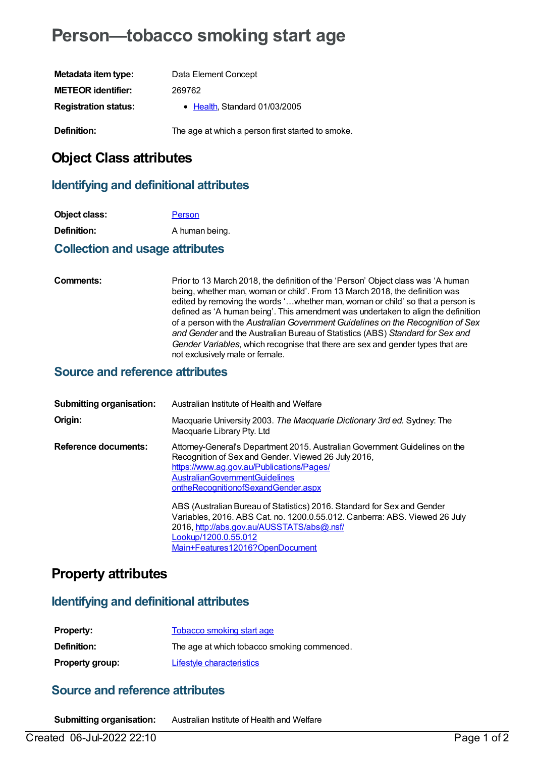# **Person—tobacco smoking start age**

| Metadata item type:         | Data Element Concept                              |
|-----------------------------|---------------------------------------------------|
| <b>METEOR identifier:</b>   | 269762                                            |
| <b>Registration status:</b> | • Health, Standard 01/03/2005                     |
| Definition:                 | The age at which a person first started to smoke. |

# **Object Class attributes**

#### **Identifying and definitional attributes**

| Object class:      | Person         |
|--------------------|----------------|
| <b>Definition:</b> | A human being. |

#### **Collection and usage attributes**

**Comments:** Prior to 13 March 2018, the definition of the 'Person' Object class was 'A human being, whether man, woman or child'. From 13 March 2018, the definition was edited by removing the words '…whether man, woman or child' so that a person is defined as 'A human being'. This amendment was undertaken to align the definition of a person with the *Australian Government Guidelines on the Recognition of Sex and Gender* and the Australian Bureau of Statistics (ABS) *Standard for Sex and Gender Variables*, which recognise that there are sex and gender types that are not exclusively male or female.

#### **Source and reference attributes**

| <b>Submitting organisation:</b> | Australian Institute of Health and Welfare                                                                                                                                                                                                                      |
|---------------------------------|-----------------------------------------------------------------------------------------------------------------------------------------------------------------------------------------------------------------------------------------------------------------|
| Origin:                         | Macquarie University 2003. The Macquarie Dictionary 3rd ed. Sydney: The<br>Macquarie Library Pty. Ltd                                                                                                                                                           |
| <b>Reference documents:</b>     | Attorney-General's Department 2015. Australian Government Guidelines on the<br>Recognition of Sex and Gender. Viewed 26 July 2016,<br>https://www.ag.gov.au/Publications/Pages/<br><b>AustralianGovernmentGuidelines</b><br>ontheRecognitionofSexandGender.aspx |
|                                 | ABS (Australian Bureau of Statistics) 2016. Standard for Sex and Gender<br>Variables, 2016. ABS Cat. no. 1200.0.55.012. Canberra: ABS. Viewed 26 July<br>2016, http://abs.gov.au/AUSSTATS/abs@.nsf/<br>Lookup/1200.0.55.012<br>Main+Features12016?OpenDocument  |

# **Property attributes**

### **Identifying and definitional attributes**

| <b>Property:</b>       | <b>Tobacco smoking start age</b>            |
|------------------------|---------------------------------------------|
| <b>Definition:</b>     | The age at which tobacco smoking commenced. |
| <b>Property group:</b> | Lifestyle characteristics                   |

# **Source and reference attributes**

**Submitting organisation:** Australian Institute of Health and Welfare